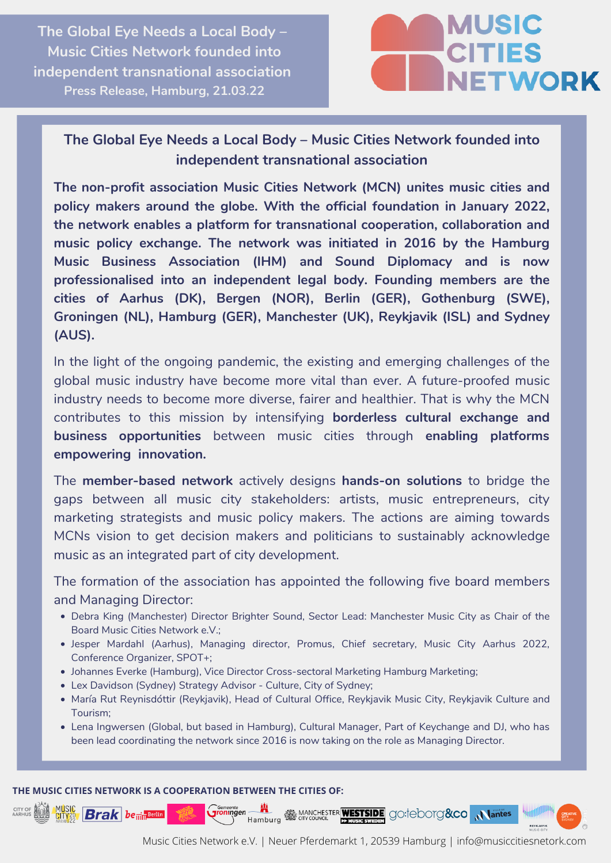**The Global Eye Needs a Local Body – Music Cities Network founded into independent transnational association Press Release, Hamburg, 21.03.22**



## **The Global Eye Needs a Local Body – Music Cities Network founded into independent transnational association**

**The non-profit association Music Cities Network (MCN) unites music cities and policy makers around the globe. With the official foundation in January 2022, the network enables a platform for transnational cooperation, collaboration and music policy exchange. The network was initiated in 2016 by the Hamburg Music Business Association (IHM) and Sound Diplomacy and is now professionalised into an independent legal body. Founding members are the cities of Aarhus (DK), Bergen (NOR), Berlin (GER), Gothenburg (SWE), Groningen (NL), Hamburg (GER), Manchester (UK), Reykjavik (ISL) and Sydney (AUS).**

In the light of the ongoing pandemic, the existing and emerging challenges of the global music industry have become more vital than ever. A future-proofed music industry needs to become more diverse, fairer and healthier. That is why the MCN contributes to this mission by intensifying **borderless cultural exchange and business opportunities** between music cities through **enabling platforms empowering innovation.**

The **member-based network** actively designs **hands-on solutions** to bridge the gaps between all music city stakeholders: artists, music entrepreneurs, city marketing strategists and music policy makers. The actions are aiming towards MCNs vision to get decision makers and politicians to sustainably acknowledge music as an integrated part of city development.

The formation of the association has appointed the following five board members and Managing Director:

- Debra King (Manchester) Director Brighter Sound, Sector Lead: Manchester Music City as Chair of the Board Music Cities Network e.V.;
- Jesper Mardahl (Aarhus), Managing director, Promus, Chief secretary, Music City Aarhus 2022, Conference Organizer, SPOT+;
- Johannes Everke (Hamburg), Vice Director Cross-sectoral Marketing Hamburg Marketing;
- Lex Davidson (Sydney) Strategy Advisor Culture, City of Sydney;
- María Rut Reynisdóttir (Reykjavik), Head of Cultural Office, Reykjavik Music City, Reykjavik Culture and Tourism;
- Lena Ingwersen (Global, but based in Hamburg), Cultural Manager, Part of Keychange and DJ, who has been lead coordinating the network since 2016 is now taking on the role as Managing Director.

## **THE MUSIC CITIES NETWORK IS A COOPERATION BETWEEN THE CITIES OF:**

 $B$ rak be $\frac{1}{\text{min}}$ Berlin

CITY OF

**n it amburg an MANCHESTER** WESTSIDE GO: COOTG&CO Gemeente<br>Groningen

Music Cities Network e.V. | Neuer Pferdemarkt 1, 20539 Hamburg | info@musiccitiesnetork.com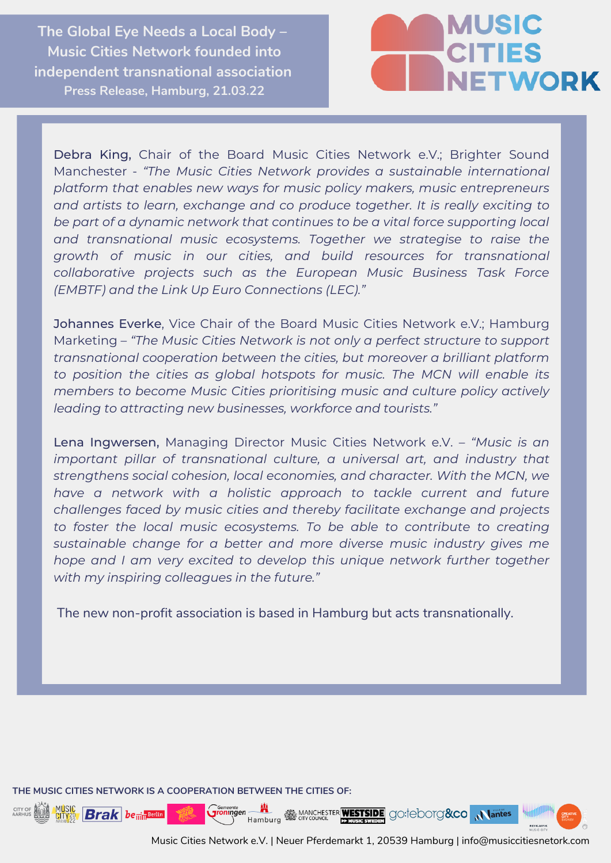**The Global Eye Needs a Local Body – Music Cities Network founded into independent transnational association Press Release, Hamburg, 21.03.22**



Debra King, Chair of the Board Music Cities Network e.V.; Brighter Sound Manchester - *"The Music Cities Network provides a sustainable international platform that enables new ways for music policy makers, music entrepreneurs and artists to learn, exchange and co produce together. It is really exciting to be part of a dynamic network that continues to be a vital force supporting local and transnational music ecosystems. Together we strategise to raise the growth of music in our cities, and build resources for transnational collaborative projects such as the European Music Business Task Force (EMBTF) and the Link Up Euro Connections (LEC)."*

Johannes Everke, Vice Chair of the Board Music Cities Network e.V.; Hamburg Marketing – *"The Music Cities Network is not only a perfect structure to support transnational cooperation between the cities, but moreover a brilliant platform to position the cities as global hotspots for music. The MCN will enable its members to become Music Cities prioritising music and culture policy actively leading to attracting new businesses, workforce and tourists."*

Lena Ingwersen, Managing Director Music Cities Network e.V. – *"Music is an important pillar of transnational culture, a universal art, and industry that strengthens social cohesion, local economies, and character. With the MCN, we have a network with a holistic approach to tackle current and future challenges faced by music cities and thereby facilitate exchange and projects to foster the local music ecosystems. To be able to contribute to creating sustainable change for a better and more diverse music industry gives me hope and I am very excited to develop this unique network further together with my inspiring colleagues in the future."*

The new non-profit association is based in Hamburg but acts transnationally.

**THE MUSIC CITIES NETWORK IS A COOPERATION BETWEEN THE CITIES OF:**